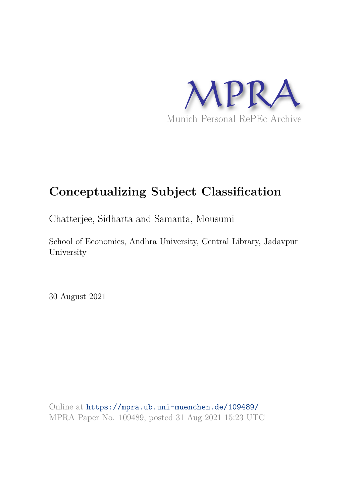

# **Conceptualizing Subject Classification**

Chatterjee, Sidharta and Samanta, Mousumi

School of Economics, Andhra University, Central Library, Jadavpur University

30 August 2021

Online at https://mpra.ub.uni-muenchen.de/109489/ MPRA Paper No. 109489, posted 31 Aug 2021 15:23 UTC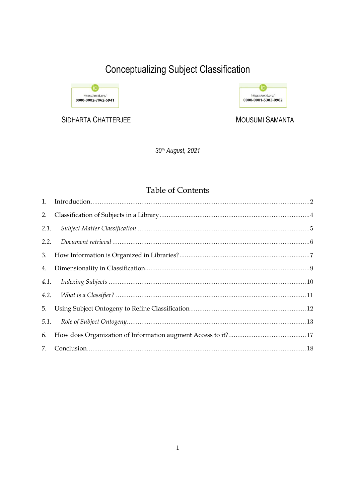# **Conceptualizing Subject Classification**



SIDHARTA CHATTERJEE



**MOUSUMI SAMANTA** 

30th August, 2021

# **Table of Contents**

| 2.   |  |
|------|--|
| 2.1. |  |
| 2.2. |  |
|      |  |
| 4.   |  |
|      |  |
|      |  |
| 5.   |  |
|      |  |
| 6.   |  |
| 7.   |  |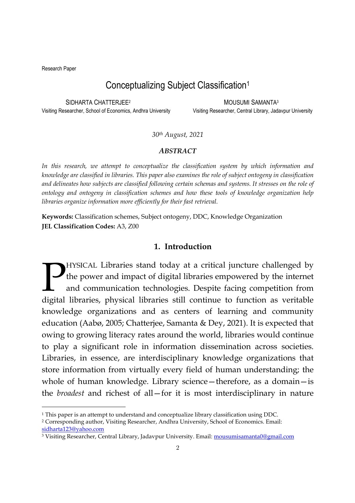Research Paper

-

# Conceptualizing Subject Classification<sup>1</sup>

SIDHARTA CHATTERJEE<sup>2</sup>

MOUSUMI SAMANTA<sup>3</sup>

Visiting Researcher, School of Economics, Andhra University Visiting Researcher, Central Library, Jadavpur University

*30th August, 2021*

#### *ABSTRACT*

*In this research, we attempt to conceptualize the classification system by which information and knowledge are classified in libraries. This paper also examines the role of subject ontogeny in classification and delineates how subjects are classified following certain schemas and systems. It stresses on the role of ontology and ontogeny in classification schemes and how these tools of knowledge organization help libraries organize information more efficiently for their fast retrieval.* 

**Keywords:** Classification schemes, Subject ontogeny, DDC, Knowledge Organization **JEL Classification Codes:** A3, Z00

#### **1. Introduction**

HYSICAL Libraries stand today at a critical juncture challenged by the power and impact of digital libraries empowered by the internet and communication technologies. Despite facing competition from **DENAL Libraries stand today at a critical juncture challenged by the power and impact of digital libraries empowered by the internet and communication technologies. Despite facing competition from digital libraries, physi** knowledge organizations and as centers of learning and community education (Aabø, 2005; Chatterjee, Samanta & Dey, 2021). It is expected that owing to growing literacy rates around the world, libraries would continue to play a significant role in information dissemination across societies. Libraries, in essence, are interdisciplinary knowledge organizations that store information from virtually every field of human understanding; the whole of human knowledge. Library science—therefore, as a domain—is the *broadest* and richest of all—for it is most interdisciplinary in nature

<sup>1</sup> This paper is an attempt to understand and conceptualize library classification using DDC.

<sup>2</sup> Corresponding author, Visiting Researcher, Andhra University, School of Economics. Email: sidharta123@yahoo.com

<sup>&</sup>lt;sup>3</sup> Visiting Researcher, Central Library, Jadavpur University. Email: <u>mousumisamanta0@gmail.com</u>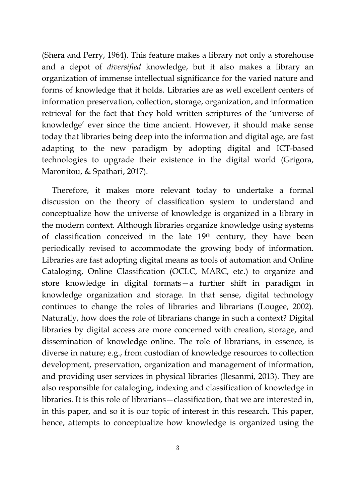(Shera and Perry, 1964). This feature makes a library not only a storehouse and a depot of *diversified* knowledge, but it also makes a library an organization of immense intellectual significance for the varied nature and forms of knowledge that it holds. Libraries are as well excellent centers of information preservation, collection, storage, organization, and information retrieval for the fact that they hold written scriptures of the 'universe of knowledge' ever since the time ancient. However, it should make sense today that libraries being deep into the information and digital age, are fast adapting to the new paradigm by adopting digital and ICT-based technologies to upgrade their existence in the digital world (Grigora, Maronitou, & Spathari, 2017).

 Therefore, it makes more relevant today to undertake a formal discussion on the theory of classification system to understand and conceptualize how the universe of knowledge is organized in a library in the modern context. Although libraries organize knowledge using systems of classification conceived in the late 19th century, they have been periodically revised to accommodate the growing body of information. Libraries are fast adopting digital means as tools of automation and Online Cataloging, Online Classification (OCLC, MARC, etc.) to organize and store knowledge in digital formats—a further shift in paradigm in knowledge organization and storage. In that sense, digital technology continues to change the roles of libraries and librarians (Lougee, 2002). Naturally, how does the role of librarians change in such a context? Digital libraries by digital access are more concerned with creation, storage, and dissemination of knowledge online. The role of librarians, in essence, is diverse in nature; e.g., from custodian of knowledge resources to collection development, preservation, organization and management of information, and providing user services in physical libraries (Ilesanmi, 2013). They are also responsible for cataloging, indexing and classification of knowledge in libraries. It is this role of librarians—classification, that we are interested in, in this paper, and so it is our topic of interest in this research. This paper, hence, attempts to conceptualize how knowledge is organized using the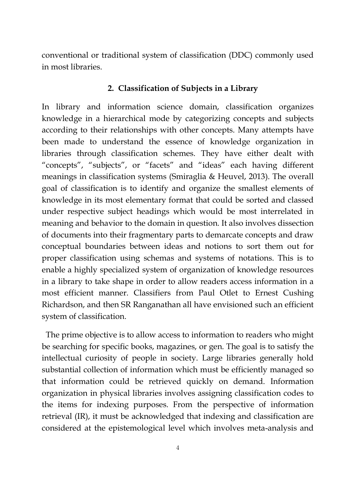conventional or traditional system of classification (DDC) commonly used in most libraries.

#### **2. Classification of Subjects in a Library**

In library and information science domain, classification organizes knowledge in a hierarchical mode by categorizing concepts and subjects according to their relationships with other concepts. Many attempts have been made to understand the essence of knowledge organization in libraries through classification schemes. They have either dealt with "concepts", "subjects", or "facets" and "ideas" each having different meanings in classification systems (Smiraglia & Heuvel, 2013). The overall goal of classification is to identify and organize the smallest elements of knowledge in its most elementary format that could be sorted and classed under respective subject headings which would be most interrelated in meaning and behavior to the domain in question. It also involves dissection of documents into their fragmentary parts to demarcate concepts and draw conceptual boundaries between ideas and notions to sort them out for proper classification using schemas and systems of notations. This is to enable a highly specialized system of organization of knowledge resources in a library to take shape in order to allow readers access information in a most efficient manner. Classifiers from Paul Otlet to Ernest Cushing Richardson, and then SR Ranganathan all have envisioned such an efficient system of classification.

 The prime objective is to allow access to information to readers who might be searching for specific books, magazines, or gen. The goal is to satisfy the intellectual curiosity of people in society. Large libraries generally hold substantial collection of information which must be efficiently managed so that information could be retrieved quickly on demand. Information organization in physical libraries involves assigning classification codes to the items for indexing purposes. From the perspective of information retrieval (IR), it must be acknowledged that indexing and classification are considered at the epistemological level which involves meta-analysis and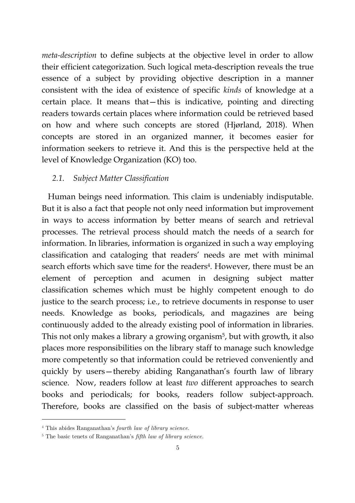*meta-description* to define subjects at the objective level in order to allow their efficient categorization. Such logical meta-description reveals the true essence of a subject by providing objective description in a manner consistent with the idea of existence of specific *kinds* of knowledge at a certain place. It means that—this is indicative, pointing and directing readers towards certain places where information could be retrieved based on how and where such concepts are stored (Hjørland, 2018). When concepts are stored in an organized manner, it becomes easier for information seekers to retrieve it. And this is the perspective held at the level of Knowledge Organization (KO) too.

# *2.1. Subject Matter Classification*

 Human beings need information. This claim is undeniably indisputable. But it is also a fact that people not only need information but improvement in ways to access information by better means of search and retrieval processes. The retrieval process should match the needs of a search for information. In libraries, information is organized in such a way employing classification and cataloging that readers' needs are met with minimal search efforts which save time for the readers<sup>4</sup>. However, there must be an element of perception and acumen in designing subject matter classification schemes which must be highly competent enough to do justice to the search process; i.e., to retrieve documents in response to user needs. Knowledge as books, periodicals, and magazines are being continuously added to the already existing pool of information in libraries. This not only makes a library a growing organism<sup>5</sup>, but with growth, it also places more responsibilities on the library staff to manage such knowledge more competently so that information could be retrieved conveniently and quickly by users—thereby abiding Ranganathan's fourth law of library science. Now, readers follow at least *two* different approaches to search books and periodicals; for books, readers follow subject-approach. Therefore, books are classified on the basis of subject-matter whereas

-

<sup>4</sup> This abides Ranganathan's *fourth law of library science*.

<sup>5</sup> The basic tenets of Ranganathan's *fifth law of library science.*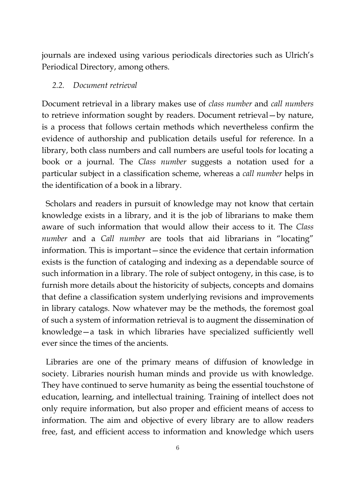journals are indexed using various periodicals directories such as Ulrich's Periodical Directory, among others.

#### *2.2. Document retrieval*

Document retrieval in a library makes use of *class number* and *call numbers* to retrieve information sought by readers. Document retrieval—by nature, is a process that follows certain methods which nevertheless confirm the evidence of authorship and publication details useful for reference. In a library, both class numbers and call numbers are useful tools for locating a book or a journal. The *Class number* suggests a notation used for a particular subject in a classification scheme, whereas a *call number* helps in the identification of a book in a library.

 Scholars and readers in pursuit of knowledge may not know that certain knowledge exists in a library, and it is the job of librarians to make them aware of such information that would allow their access to it. The *Class number* and a *Call number* are tools that aid librarians in "locating" information. This is important—since the evidence that certain information exists is the function of cataloging and indexing as a dependable source of such information in a library. The role of subject ontogeny, in this case, is to furnish more details about the historicity of subjects, concepts and domains that define a classification system underlying revisions and improvements in library catalogs. Now whatever may be the methods, the foremost goal of such a system of information retrieval is to augment the dissemination of knowledge—a task in which libraries have specialized sufficiently well ever since the times of the ancients.

 Libraries are one of the primary means of diffusion of knowledge in society. Libraries nourish human minds and provide us with knowledge. They have continued to serve humanity as being the essential touchstone of education, learning, and intellectual training. Training of intellect does not only require information, but also proper and efficient means of access to information. The aim and objective of every library are to allow readers free, fast, and efficient access to information and knowledge which users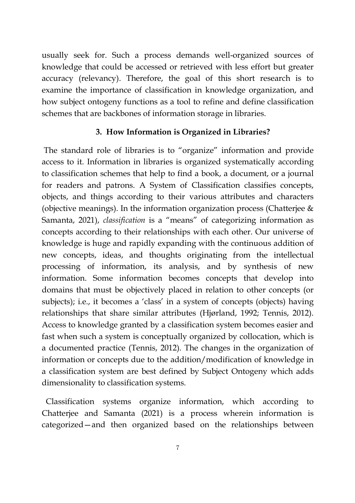usually seek for. Such a process demands well-organized sources of knowledge that could be accessed or retrieved with less effort but greater accuracy (relevancy). Therefore, the goal of this short research is to examine the importance of classification in knowledge organization, and how subject ontogeny functions as a tool to refine and define classification schemes that are backbones of information storage in libraries.

# **3. How Information is Organized in Libraries?**

 The standard role of libraries is to "organize" information and provide access to it. Information in libraries is organized systematically according to classification schemes that help to find a book, a document, or a journal for readers and patrons. A System of Classification classifies concepts, objects, and things according to their various attributes and characters (objective meanings). In the information organization process (Chatterjee & Samanta, 2021), *classification* is a "means" of categorizing information as concepts according to their relationships with each other. Our universe of knowledge is huge and rapidly expanding with the continuous addition of new concepts, ideas, and thoughts originating from the intellectual processing of information, its analysis, and by synthesis of new information. Some information becomes concepts that develop into domains that must be objectively placed in relation to other concepts (or subjects); i.e., it becomes a 'class' in a system of concepts (objects) having relationships that share similar attributes (Hjørland, 1992; Tennis, 2012). Access to knowledge granted by a classification system becomes easier and fast when such a system is conceptually organized by collocation, which is a documented practice (Tennis, 2012). The changes in the organization of information or concepts due to the addition/modification of knowledge in a classification system are best defined by Subject Ontogeny which adds dimensionality to classification systems.

 Classification systems organize information, which according to Chatterjee and Samanta (2021) is a process wherein information is categorized—and then organized based on the relationships between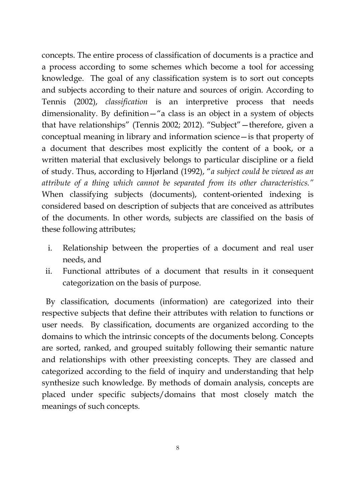concepts. The entire process of classification of documents is a practice and a process according to some schemes which become a tool for accessing knowledge. The goal of any classification system is to sort out concepts and subjects according to their nature and sources of origin. According to Tennis (2002), *classification* is an interpretive process that needs dimensionality. By definition—"a class is an object in a system of objects that have relationships" (Tennis 2002; 2012). "Subject"—therefore, given a conceptual meaning in library and information science—is that property of a document that describes most explicitly the content of a book, or a written material that exclusively belongs to particular discipline or a field of study. Thus, according to Hjørland (1992), "*a subject could be viewed as an attribute of a thing which cannot be separated from its other characteristics."* When classifying subjects (documents), content-oriented indexing is considered based on description of subjects that are conceived as attributes of the documents. In other words, subjects are classified on the basis of these following attributes;

- i. Relationship between the properties of a document and real user needs, and
- ii. Functional attributes of a document that results in it consequent categorization on the basis of purpose.

 By classification, documents (information) are categorized into their respective subjects that define their attributes with relation to functions or user needs. By classification, documents are organized according to the domains to which the intrinsic concepts of the documents belong. Concepts are sorted, ranked, and grouped suitably following their semantic nature and relationships with other preexisting concepts. They are classed and categorized according to the field of inquiry and understanding that help synthesize such knowledge. By methods of domain analysis, concepts are placed under specific subjects/domains that most closely match the meanings of such concepts.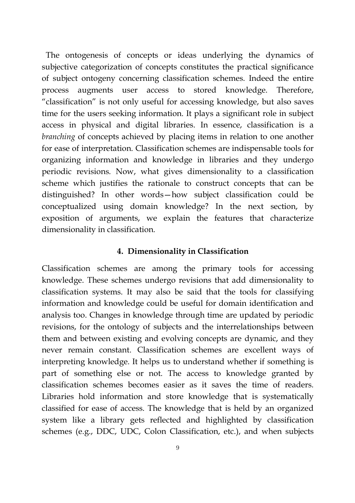The ontogenesis of concepts or ideas underlying the dynamics of subjective categorization of concepts constitutes the practical significance of subject ontogeny concerning classification schemes. Indeed the entire process augments user access to stored knowledge. Therefore, "classification" is not only useful for accessing knowledge, but also saves time for the users seeking information. It plays a significant role in subject access in physical and digital libraries. In essence, classification is a *branching* of concepts achieved by placing items in relation to one another for ease of interpretation. Classification schemes are indispensable tools for organizing information and knowledge in libraries and they undergo periodic revisions. Now, what gives dimensionality to a classification scheme which justifies the rationale to construct concepts that can be distinguished? In other words—how subject classification could be conceptualized using domain knowledge? In the next section, by exposition of arguments, we explain the features that characterize dimensionality in classification.

#### **4. Dimensionality in Classification**

Classification schemes are among the primary tools for accessing knowledge. These schemes undergo revisions that add dimensionality to classification systems. It may also be said that the tools for classifying information and knowledge could be useful for domain identification and analysis too. Changes in knowledge through time are updated by periodic revisions, for the ontology of subjects and the interrelationships between them and between existing and evolving concepts are dynamic, and they never remain constant. Classification schemes are excellent ways of interpreting knowledge. It helps us to understand whether if something is part of something else or not. The access to knowledge granted by classification schemes becomes easier as it saves the time of readers. Libraries hold information and store knowledge that is systematically classified for ease of access. The knowledge that is held by an organized system like a library gets reflected and highlighted by classification schemes (e.g., DDC, UDC, Colon Classification, etc.), and when subjects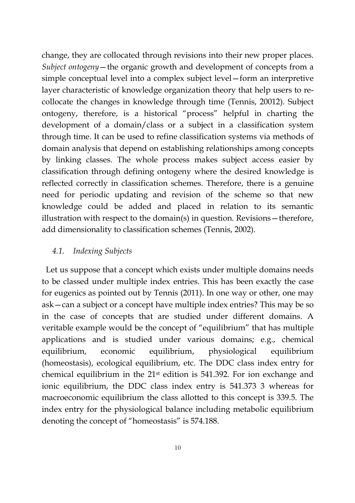change, they are collocated through revisions into their new proper places. *Subject ontogeny*—the organic growth and development of concepts from a simple conceptual level into a complex subject level—form an interpretive layer characteristic of knowledge organization theory that help users to recollocate the changes in knowledge through time (Tennis, 20012). Subject ontogeny, therefore, is a historical "process" helpful in charting the development of a domain/class or a subject in a classification system through time. It can be used to refine classification systems via methods of domain analysis that depend on establishing relationships among concepts by linking classes. The whole process makes subject access easier by classification through defining ontogeny where the desired knowledge is reflected correctly in classification schemes. Therefore, there is a genuine need for periodic updating and revision of the scheme so that new knowledge could be added and placed in relation to its semantic illustration with respect to the domain(s) in question. Revisions—therefore, add dimensionality to classification schemes (Tennis, 2002).

# *4.1. Indexing Subjects*

 Let us suppose that a concept which exists under multiple domains needs to be classed under multiple index entries. This has been exactly the case for eugenics as pointed out by Tennis (2011). In one way or other, one may ask—can a subject or a concept have multiple index entries? This may be so in the case of concepts that are studied under different domains. A veritable example would be the concept of "equilibrium" that has multiple applications and is studied under various domains; e.g., chemical equilibrium, economic equilibrium, physiological equilibrium (homeostasis), ecological equilibrium, etc. The DDC class index entry for chemical equilibrium in the 21st edition is 541.392. For ion exchange and ionic equilibrium, the DDC class index entry is 541.373 3 whereas for macroeconomic equilibrium the class allotted to this concept is 339.5. The index entry for the physiological balance including metabolic equilibrium denoting the concept of "homeostasis" is 574.188.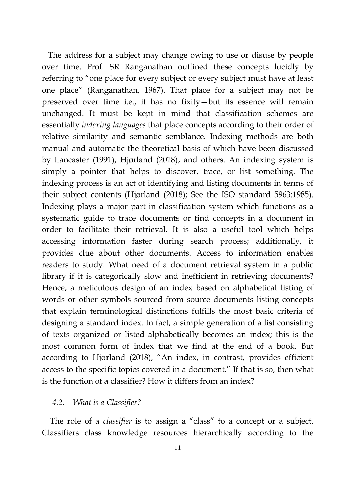The address for a subject may change owing to use or disuse by people over time. Prof. SR Ranganathan outlined these concepts lucidly by referring to "one place for every subject or every subject must have at least one place" (Ranganathan, 1967). That place for a subject may not be preserved over time i.e., it has no fixity—but its essence will remain unchanged. It must be kept in mind that classification schemes are essentially *indexing languages* that place concepts according to their order of relative similarity and semantic semblance. Indexing methods are both manual and automatic the theoretical basis of which have been discussed by Lancaster (1991), Hjørland (2018), and others. An indexing system is simply a pointer that helps to discover, trace, or list something. The indexing process is an act of identifying and listing documents in terms of their subject contents (Hjørland (2018); See the ISO standard 5963:1985). Indexing plays a major part in classification system which functions as a systematic guide to trace documents or find concepts in a document in order to facilitate their retrieval. It is also a useful tool which helps accessing information faster during search process; additionally, it provides clue about other documents. Access to information enables readers to study. What need of a document retrieval system in a public library if it is categorically slow and inefficient in retrieving documents? Hence, a meticulous design of an index based on alphabetical listing of words or other symbols sourced from source documents listing concepts that explain terminological distinctions fulfills the most basic criteria of designing a standard index. In fact, a simple generation of a list consisting of texts organized or listed alphabetically becomes an index; this is the most common form of index that we find at the end of a book. But according to Hjørland (2018), "An index, in contrast, provides efficient access to the specific topics covered in a document." If that is so, then what is the function of a classifier? How it differs from an index?

#### *4.2. What is a Classifier?*

 The role of a *classifier* is to assign a "class" to a concept or a subject. Classifiers class knowledge resources hierarchically according to the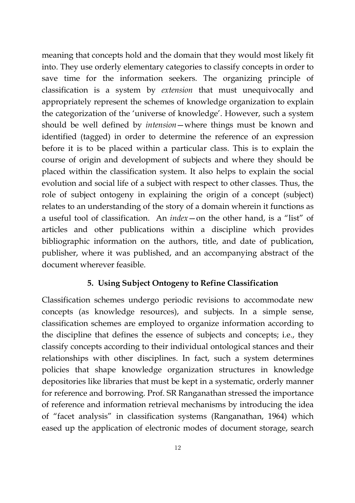meaning that concepts hold and the domain that they would most likely fit into. They use orderly elementary categories to classify concepts in order to save time for the information seekers. The organizing principle of classification is a system by *extension* that must unequivocally and appropriately represent the schemes of knowledge organization to explain the categorization of the 'universe of knowledge'. However, such a system should be well defined by *intension*—where things must be known and identified (tagged) in order to determine the reference of an expression before it is to be placed within a particular class. This is to explain the course of origin and development of subjects and where they should be placed within the classification system. It also helps to explain the social evolution and social life of a subject with respect to other classes. Thus, the role of subject ontogeny in explaining the origin of a concept (subject) relates to an understanding of the story of a domain wherein it functions as a useful tool of classification. An *index*—on the other hand, is a "list" of articles and other publications within a discipline which provides bibliographic information on the authors, title, and date of publication, publisher, where it was published, and an accompanying abstract of the document wherever feasible.

### **5. Using Subject Ontogeny to Refine Classification**

Classification schemes undergo periodic revisions to accommodate new concepts (as knowledge resources), and subjects. In a simple sense, classification schemes are employed to organize information according to the discipline that defines the essence of subjects and concepts; i.e., they classify concepts according to their individual ontological stances and their relationships with other disciplines. In fact, such a system determines policies that shape knowledge organization structures in knowledge depositories like libraries that must be kept in a systematic, orderly manner for reference and borrowing. Prof. SR Ranganathan stressed the importance of reference and information retrieval mechanisms by introducing the idea of "facet analysis" in classification systems (Ranganathan, 1964) which eased up the application of electronic modes of document storage, search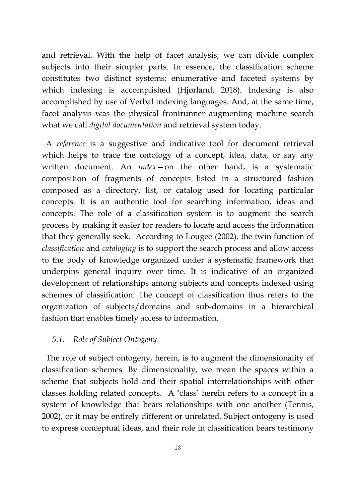and retrieval. With the help of facet analysis, we can divide complex subjects into their simpler parts. In essence, the classification scheme constitutes two distinct systems; enumerative and faceted systems by which indexing is accomplished (Hjørland, 2018). Indexing is also accomplished by use of Verbal indexing languages. And, at the same time, facet analysis was the physical frontrunner augmenting machine search what we call *digital documentation* and retrieval system today.

 A *reference* is a suggestive and indicative tool for document retrieval which helps to trace the ontology of a concept, idea, data, or say any written document. An *index*—on the other hand, is a systematic composition of fragments of concepts listed in a structured fashion composed as a directory, list, or catalog used for locating particular concepts. It is an authentic tool for searching information, ideas and concepts. The role of a classification system is to augment the search process by making it easier for readers to locate and access the information that they generally seek. According to Lougee (2002), the twin function of *classification* and *cataloging* is to support the search process and allow access to the body of knowledge organized under a systematic framework that underpins general inquiry over time. It is indicative of an organized development of relationships among subjects and concepts indexed using schemes of classification. The concept of classification thus refers to the organization of subjects/domains and sub-domains in a hierarchical fashion that enables timely access to information.

# *5.1. Role of Subject Ontogeny*

 The role of subject ontogeny, herein, is to augment the dimensionality of classification schemes. By dimensionality, we mean the spaces within a scheme that subjects hold and their spatial interrelationships with other classes holding related concepts. A 'class' herein refers to a concept in a system of knowledge that bears relationships with one another (Tennis, 2002), or it may be entirely different or unrelated. Subject ontogeny is used to express conceptual ideas, and their role in classification bears testimony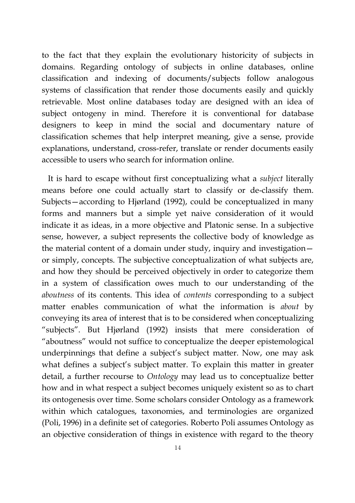to the fact that they explain the evolutionary historicity of subjects in domains. Regarding ontology of subjects in online databases, online classification and indexing of documents/subjects follow analogous systems of classification that render those documents easily and quickly retrievable. Most online databases today are designed with an idea of subject ontogeny in mind. Therefore it is conventional for database designers to keep in mind the social and documentary nature of classification schemes that help interpret meaning, give a sense, provide explanations, understand, cross-refer, translate or render documents easily accessible to users who search for information online.

 It is hard to escape without first conceptualizing what a *subject* literally means before one could actually start to classify or de-classify them. Subjects—according to Hjørland (1992), could be conceptualized in many forms and manners but a simple yet naive consideration of it would indicate it as ideas, in a more objective and Platonic sense. In a subjective sense, however, a subject represents the collective body of knowledge as the material content of a domain under study, inquiry and investigation or simply, concepts. The subjective conceptualization of what subjects are, and how they should be perceived objectively in order to categorize them in a system of classification owes much to our understanding of the *aboutness* of its contents. This idea of *contents* corresponding to a subject matter enables communication of what the information is *about* by conveying its area of interest that is to be considered when conceptualizing "subjects". But Hjørland (1992) insists that mere consideration of "aboutness" would not suffice to conceptualize the deeper epistemological underpinnings that define a subject's subject matter. Now, one may ask what defines a subject's subject matter. To explain this matter in greater detail, a further recourse to *Ontology* may lead us to conceptualize better how and in what respect a subject becomes uniquely existent so as to chart its ontogenesis over time. Some scholars consider Ontology as a framework within which catalogues, taxonomies, and terminologies are organized (Poli, 1996) in a definite set of categories. Roberto Poli assumes Ontology as an objective consideration of things in existence with regard to the theory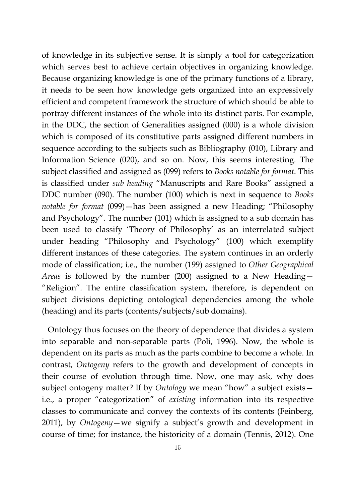of knowledge in its subjective sense. It is simply a tool for categorization which serves best to achieve certain objectives in organizing knowledge. Because organizing knowledge is one of the primary functions of a library, it needs to be seen how knowledge gets organized into an expressively efficient and competent framework the structure of which should be able to portray different instances of the whole into its distinct parts. For example, in the DDC, the section of Generalities assigned (000) is a whole division which is composed of its constitutive parts assigned different numbers in sequence according to the subjects such as Bibliography (010), Library and Information Science (020), and so on. Now, this seems interesting. The subject classified and assigned as (099) refers to *Books notable for format*. This is classified under *sub heading* "Manuscripts and Rare Books" assigned a DDC number (090). The number (100) which is next in sequence to *Books notable for format* (099)—has been assigned a new Heading; "Philosophy and Psychology". The number (101) which is assigned to a sub domain has been used to classify 'Theory of Philosophy' as an interrelated subject under heading "Philosophy and Psychology" (100) which exemplify different instances of these categories. The system continues in an orderly mode of classification; i.e., the number (199) assigned to *Other Geographical Areas* is followed by the number (200) assigned to a New Heading— "Religion". The entire classification system, therefore, is dependent on subject divisions depicting ontological dependencies among the whole (heading) and its parts (contents/subjects/sub domains).

 Ontology thus focuses on the theory of dependence that divides a system into separable and non-separable parts (Poli, 1996). Now, the whole is dependent on its parts as much as the parts combine to become a whole. In contrast, *Ontogeny* refers to the growth and development of concepts in their course of evolution through time. Now, one may ask, why does subject ontogeny matter? If by *Ontology* we mean "how" a subject exists i.e., a proper "categorization" of *existing* information into its respective classes to communicate and convey the contexts of its contents (Feinberg, 2011), by *Ontogeny*—we signify a subject's growth and development in course of time; for instance, the historicity of a domain (Tennis, 2012). One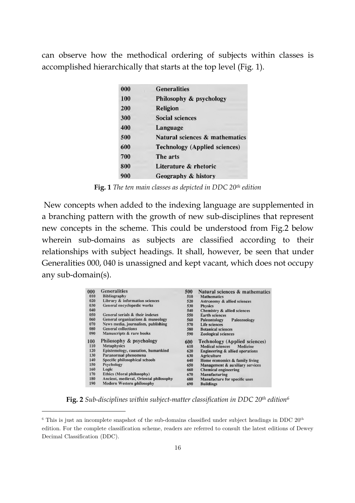can observe how the methodical ordering of subjects within classes is accomplished hierarchically that starts at the top level (Fig. 1).

| 000 | <b>Generalities</b>                       |
|-----|-------------------------------------------|
| 100 | Philosophy & psychology                   |
| 200 | <b>Religion</b>                           |
| 300 | <b>Social sciences</b>                    |
| 400 | Language                                  |
| 500 | <b>Natural sciences &amp; mathematics</b> |
| 600 | <b>Technology (Applied sciences)</b>      |
| 700 | The arts                                  |
| 800 | Literature & rhetoric                     |
| 900 | Geography & history                       |

**Fig. 1** *The t e ten main classes as depicted in DDC 20th edit dition*

New concepts when added to the indexing language are supplemented in a branching pattern with the growth of new sub-disciplines that represent new concepts in the scheme. This could be understood from Fig.2 below wherein sub-domains as subjects are classified according to their relationships with subject headings. It shall, however, be seen that under Generalities 000, 040 is unassigned and kept vacant, which does not occupy any sub-domain(s).

| 000 | <b>Generalities</b>                    | 500 | Natural sciences & mathematics       |
|-----|----------------------------------------|-----|--------------------------------------|
| 010 | <b>Bibliography</b>                    | 510 | <b>Mathematics</b>                   |
| 020 | Library & information sciences         | 520 | Astronomy & allied sciences          |
| 030 | General encyclopedic works             | 530 | <b>Physics</b>                       |
| 040 |                                        | 540 | Chemistry & allied sciences          |
| 050 | General serials & their indexes        | 550 | <b>Earth sciences</b>                |
| 060 | General organizations & museology      | 560 | Paleontology<br>Paleozoology         |
| 070 | News media, journalism, publishing     | 570 | <b>Life sciences</b>                 |
| 080 | <b>General collections</b>             | 580 | <b>Botanical sciences</b>            |
| 090 | Manuscripts & rare books               | 590 | <b>Zoological sciences</b>           |
| 100 | Philosophy & psychology                | 600 | <b>Technology</b> (Applied sciences) |
| 110 | <b>Metaphysics</b>                     | 610 | Medical sciences Medicine            |
| 120 | Epistemology, causation, humankind     | 620 | Engineering & allied operations      |
| 130 | Paranormal phenomena                   | 630 | Agriculture                          |
| 140 | Specific philosophical schools         | 640 | Home economics & family living       |
| 150 | Psychology                             | 650 | Management & auxiliary services      |
| 160 | Logic                                  | 660 | Chemical engineering                 |
| 170 | Ethics (Moral philosophy)              | 670 | Manufacturing                        |
| 180 | Ancient, medieval, Oriental philosophy | 680 | Manufacture for specific uses        |
| 190 | Modern Western philosophy              | 690 | <b>Buildings</b>                     |

**Fig. 2** *Sub-disciplines nes within subject-matter classification in DDC DC 20 th edition<sup>6</sup>*

ł

ł

<sup>&</sup>lt;sup>6</sup> This is just an incomplete snapshot of the sub-domains classified under subject headings in DDC  $20<sup>th</sup>$ edition. For the complete classification scheme, readers are referred to consult the latest editions of Dewey Decimal Classification (DDC).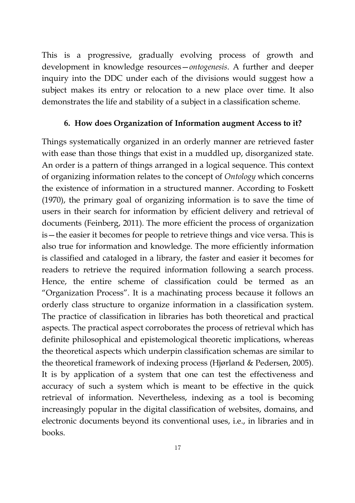This is a progressive, gradually evolving process of growth and development in knowledge resources—*ontogenesis*. A further and deeper inquiry into the DDC under each of the divisions would suggest how a subject makes its entry or relocation to a new place over time. It also demonstrates the life and stability of a subject in a classification scheme.

### **6. How does Organization of Information augment Access to it?**

Things systematically organized in an orderly manner are retrieved faster with ease than those things that exist in a muddled up, disorganized state. An order is a pattern of things arranged in a logical sequence. This context of organizing information relates to the concept of *Ontology* which concerns the existence of information in a structured manner. According to Foskett (1970), the primary goal of organizing information is to save the time of users in their search for information by efficient delivery and retrieval of documents (Feinberg, 2011). The more efficient the process of organization is—the easier it becomes for people to retrieve things and vice versa. This is also true for information and knowledge. The more efficiently information is classified and cataloged in a library, the faster and easier it becomes for readers to retrieve the required information following a search process. Hence, the entire scheme of classification could be termed as an "Organization Process". It is a machinating process because it follows an orderly class structure to organize information in a classification system. The practice of classification in libraries has both theoretical and practical aspects. The practical aspect corroborates the process of retrieval which has definite philosophical and epistemological theoretic implications, whereas the theoretical aspects which underpin classification schemas are similar to the theoretical framework of indexing process (Hjørland & Pedersen, 2005). It is by application of a system that one can test the effectiveness and accuracy of such a system which is meant to be effective in the quick retrieval of information. Nevertheless, indexing as a tool is becoming increasingly popular in the digital classification of websites, domains, and electronic documents beyond its conventional uses, i.e., in libraries and in books.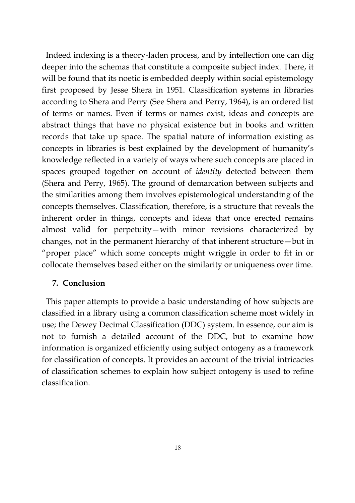Indeed indexing is a theory-laden process, and by intellection one can dig deeper into the schemas that constitute a composite subject index. There, it will be found that its noetic is embedded deeply within social epistemology first proposed by Jesse Shera in 1951. Classification systems in libraries according to Shera and Perry (See Shera and Perry, 1964), is an ordered list of terms or names. Even if terms or names exist, ideas and concepts are abstract things that have no physical existence but in books and written records that take up space. The spatial nature of information existing as concepts in libraries is best explained by the development of humanity's knowledge reflected in a variety of ways where such concepts are placed in spaces grouped together on account of *identity* detected between them (Shera and Perry, 1965). The ground of demarcation between subjects and the similarities among them involves epistemological understanding of the concepts themselves. Classification, therefore, is a structure that reveals the inherent order in things, concepts and ideas that once erected remains almost valid for perpetuity—with minor revisions characterized by changes, not in the permanent hierarchy of that inherent structure—but in "proper place" which some concepts might wriggle in order to fit in or collocate themselves based either on the similarity or uniqueness over time.

### **7. Conclusion**

 This paper attempts to provide a basic understanding of how subjects are classified in a library using a common classification scheme most widely in use; the Dewey Decimal Classification (DDC) system. In essence, our aim is not to furnish a detailed account of the DDC, but to examine how information is organized efficiently using subject ontogeny as a framework for classification of concepts. It provides an account of the trivial intricacies of classification schemes to explain how subject ontogeny is used to refine classification.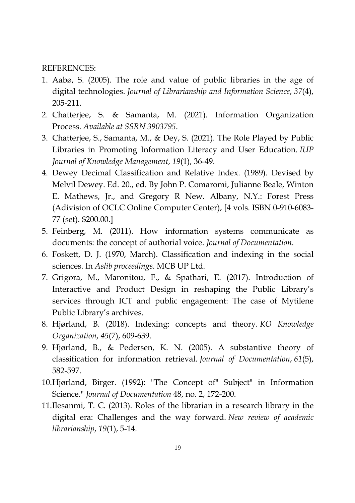#### REFERENCES:

- 1. Aabø, S. (2005). The role and value of public libraries in the age of digital technologies. *Journal of Librarianship and Information Science*, *37*(4), 205-211.
- 2. Chatterjee, S. & Samanta, M. (2021). Information Organization Process. *Available at SSRN 3903795*.
- 3. Chatterjee, S., Samanta, M., & Dey, S. (2021). The Role Played by Public Libraries in Promoting Information Literacy and User Education. *IUP Journal of Knowledge Management*, *19*(1), 36-49.
- 4. Dewey Decimal Classification and Relative Index. (1989). Devised by Melvil Dewey. Ed. 20., ed. By John P. Comaromi, Julianne Beale, Winton E. Mathews, Jr., and Gregory R New. Albany, N.Y.: Forest Press (Adivision of OCLC Online Computer Center), [4 vols. ISBN 0-910-6083- 77 (set). \$200.00.]
- 5. Feinberg, M. (2011). How information systems communicate as documents: the concept of authorial voice. *Journal of Documentation*.
- 6. Foskett, D. J. (1970, March). Classification and indexing in the social sciences. In *Aslib proceedings*. MCB UP Ltd.
- 7. Grigora, M., Maronitou, F., & Spathari, E. (2017). Introduction of Interactive and Product Design in reshaping the Public Library's services through ICT and public engagement: The case of Mytilene Public Library's archives.
- 8. Hjørland, B. (2018). Indexing: concepts and theory. *KO Knowledge Organization*, *45*(7), 609-639.
- 9. Hjørland, B., & Pedersen, K. N. (2005). A substantive theory of classification for information retrieval. *Journal of Documentation*, *61*(5), 582-597.
- 10.Hjørland, Birger. (1992): "The Concept of" Subject" in Information Science." *Journal of Documentation* 48, no. 2, 172-200.
- 11.Ilesanmi, T. C. (2013). Roles of the librarian in a research library in the digital era: Challenges and the way forward. *New review of academic librarianship*, *19*(1), 5-14.